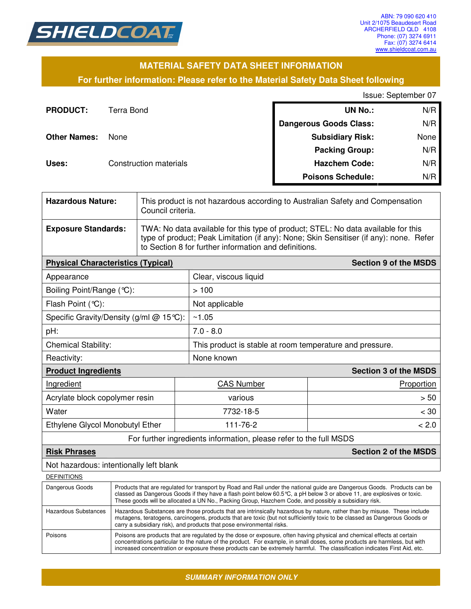

### **MATERIAL SAFETY DATA SHEET INFORMATION**

### **For further information: Please refer to the Material Safety Data Sheet following**

Issue: September 07

| <b>PRODUCT:</b>     | Terra Bond                    | <b>UN No.:</b>                | N/R  |
|---------------------|-------------------------------|-------------------------------|------|
|                     |                               | <b>Dangerous Goods Class:</b> | N/R  |
| <b>Other Names:</b> | None                          | <b>Subsidiary Risk:</b>       | None |
|                     |                               | <b>Packing Group:</b>         | N/R  |
| Uses:               | <b>Construction materials</b> | <b>Hazchem Code:</b>          | N/R  |
|                     |                               | <b>Poisons Schedule:</b>      | N/R  |

| <b>Hazardous Nature:</b>                                           |                                                                                                                                                                                                                                                                                                                                                             | This product is not hazardous according to Australian Safety and Compensation<br>Council criteria.                                                                                                                                   |                                                          |                              |  |
|--------------------------------------------------------------------|-------------------------------------------------------------------------------------------------------------------------------------------------------------------------------------------------------------------------------------------------------------------------------------------------------------------------------------------------------------|--------------------------------------------------------------------------------------------------------------------------------------------------------------------------------------------------------------------------------------|----------------------------------------------------------|------------------------------|--|
| <b>Exposure Standards:</b>                                         |                                                                                                                                                                                                                                                                                                                                                             | TWA: No data available for this type of product; STEL: No data available for this<br>type of product; Peak Limitation (if any): None; Skin Sensitiser (if any): none. Refer<br>to Section 8 for further information and definitions. |                                                          |                              |  |
| <b>Physical Characteristics (Typical)</b>                          |                                                                                                                                                                                                                                                                                                                                                             |                                                                                                                                                                                                                                      |                                                          | <b>Section 9 of the MSDS</b> |  |
| Appearance                                                         |                                                                                                                                                                                                                                                                                                                                                             |                                                                                                                                                                                                                                      | Clear, viscous liquid                                    |                              |  |
| Boiling Point/Range (°C):                                          |                                                                                                                                                                                                                                                                                                                                                             |                                                                                                                                                                                                                                      | >100                                                     |                              |  |
| Flash Point (°C):                                                  |                                                                                                                                                                                                                                                                                                                                                             |                                                                                                                                                                                                                                      | Not applicable                                           |                              |  |
| Specific Gravity/Density (g/ml @ 15°C):                            |                                                                                                                                                                                                                                                                                                                                                             |                                                                                                                                                                                                                                      | ~1.05                                                    |                              |  |
| pH:                                                                |                                                                                                                                                                                                                                                                                                                                                             |                                                                                                                                                                                                                                      | $7.0 - 8.0$                                              |                              |  |
| <b>Chemical Stability:</b>                                         |                                                                                                                                                                                                                                                                                                                                                             |                                                                                                                                                                                                                                      | This product is stable at room temperature and pressure. |                              |  |
| Reactivity:                                                        |                                                                                                                                                                                                                                                                                                                                                             | None known                                                                                                                                                                                                                           |                                                          |                              |  |
| <b>Product Ingredients</b>                                         |                                                                                                                                                                                                                                                                                                                                                             |                                                                                                                                                                                                                                      | <b>Section 3 of the MSDS</b>                             |                              |  |
| Ingredient                                                         |                                                                                                                                                                                                                                                                                                                                                             | <b>CAS Number</b>                                                                                                                                                                                                                    | Proportion                                               |                              |  |
| Acrylate block copolymer resin                                     |                                                                                                                                                                                                                                                                                                                                                             |                                                                                                                                                                                                                                      | various                                                  | > 50                         |  |
| Water                                                              |                                                                                                                                                                                                                                                                                                                                                             | 7732-18-5                                                                                                                                                                                                                            | $<$ 30                                                   |                              |  |
| Ethylene Glycol Monobutyl Ether                                    |                                                                                                                                                                                                                                                                                                                                                             | 111-76-2                                                                                                                                                                                                                             |                                                          | < 2.0                        |  |
| For further ingredients information, please refer to the full MSDS |                                                                                                                                                                                                                                                                                                                                                             |                                                                                                                                                                                                                                      |                                                          |                              |  |
| <b>Risk Phrases</b>                                                | <b>Section 2 of the MSDS</b>                                                                                                                                                                                                                                                                                                                                |                                                                                                                                                                                                                                      |                                                          |                              |  |
| Not hazardous: intentionally left blank                            |                                                                                                                                                                                                                                                                                                                                                             |                                                                                                                                                                                                                                      |                                                          |                              |  |
| <b>DEFINITIONS</b>                                                 |                                                                                                                                                                                                                                                                                                                                                             |                                                                                                                                                                                                                                      |                                                          |                              |  |
| Dangerous Goods                                                    | Products that are regulated for transport by Road and Rail under the national guide are Dangerous Goods. Products can be<br>classed as Dangerous Goods if they have a flash point below 60.5 °C, a pH below 3 or above 11, are explosives or toxic.<br>These goods will be allocated a UN No., Packing Group, Hazchem Code, and possibly a subsidiary risk. |                                                                                                                                                                                                                                      |                                                          |                              |  |
| <b>Hazardous Substances</b>                                        | Hazardous Substances are those products that are intrinsically hazardous by nature, rather than by misuse. These include<br>mutagens, teratogens, carcinogens, products that are toxic (but not sufficiently toxic to be classed as Dangerous Goods or                                                                                                      |                                                                                                                                                                                                                                      |                                                          |                              |  |

carry a subsidiary risk), and products that pose environmental risks. Poisons Poisons are products that are regulated by the dose or exposure, often having physical and chemical effects at certain concentrations particular to the nature of the product. For example, in small doses, some products are harmless, but with increased concentration or exposure these products can be extremely harmful. The classification indicates First Aid, etc.

*SUMMARY INFORMATION ONLY*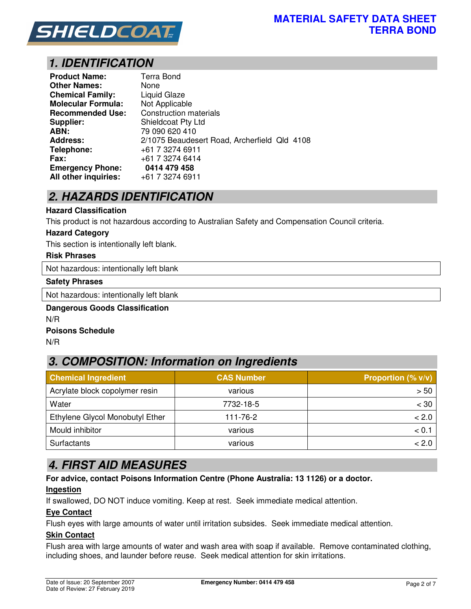

# *1. IDENTIFICATION*

| <b>Product Name:</b>      | Terra Bond                                   |
|---------------------------|----------------------------------------------|
| <b>Other Names:</b>       | None                                         |
| <b>Chemical Family:</b>   | Liquid Glaze                                 |
| <b>Molecular Formula:</b> | Not Applicable                               |
| <b>Recommended Use:</b>   | Construction materials                       |
| <b>Supplier:</b>          | Shieldcoat Pty Ltd                           |
| ABN:                      | 79 090 620 410                               |
| <b>Address:</b>           | 2/1075 Beaudesert Road, Archerfield Qld 4108 |
| Telephone:                | +61 7 3274 6911                              |
| Fax:                      | +61 7 3274 6414                              |
| <b>Emergency Phone:</b>   | 0414 479 458                                 |
| All other inquiries:      | +61 7 3274 6911                              |

# *2. HAZARDS IDENTIFICATION*

#### **Hazard Classification**

This product is not hazardous according to Australian Safety and Compensation Council criteria.

#### **Hazard Category**

This section is intentionally left blank.

### **Risk Phrases**

Not hazardous: intentionally left blank

#### **Safety Phrases**

Not hazardous: intentionally left blank

### **Dangerous Goods Classification**  N/R **Poisons Schedule**

N/R

# *3. COMPOSITION: Information on Ingredients*

| <b>Chemical Ingredient</b>      | <b>CAS Number</b> | <b>Proportion (% v/v)</b> |
|---------------------------------|-------------------|---------------------------|
| Acrylate block copolymer resin  | various           | > 50                      |
| Water                           | 7732-18-5         | $<$ 30                    |
| Ethylene Glycol Monobutyl Ether | 111-76-2          | < 2.0                     |
| Mould inhibitor                 | various           | < 0.                      |
| Surfactants                     | various           | < 2.0                     |

## *4. FIRST AID MEASURES*

**For advice, contact Poisons Information Centre (Phone Australia: 13 1126) or a doctor.** 

### **Ingestion**

If swallowed, DO NOT induce vomiting. Keep at rest. Seek immediate medical attention.

### **Eye Contact**

Flush eyes with large amounts of water until irritation subsides. Seek immediate medical attention.

### **Skin Contact**

Flush area with large amounts of water and wash area with soap if available. Remove contaminated clothing, including shoes, and launder before reuse. Seek medical attention for skin irritations.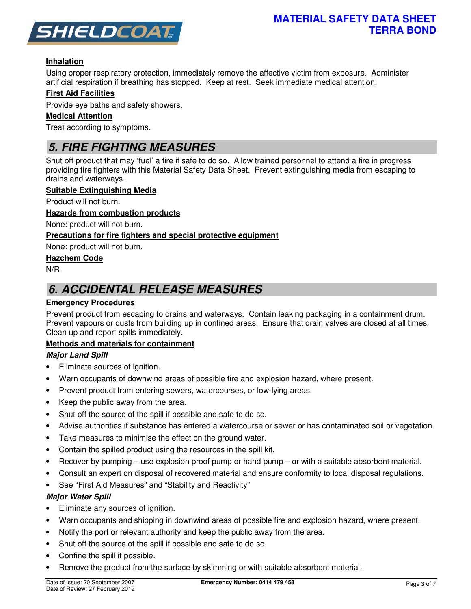

### **Inhalation**

Using proper respiratory protection, immediately remove the affective victim from exposure. Administer artificial respiration if breathing has stopped. Keep at rest. Seek immediate medical attention.

### **First Aid Facilities**

Provide eye baths and safety showers.

### **Medical Attention**

Treat according to symptoms.

# *5. FIRE FIGHTING MEASURES*

Shut off product that may 'fuel' a fire if safe to do so. Allow trained personnel to attend a fire in progress providing fire fighters with this Material Safety Data Sheet. Prevent extinguishing media from escaping to drains and waterways.

### **Suitable Extinguishing Media**

Product will not burn.

#### **Hazards from combustion products**

None: product will not burn.

### **Precautions for fire fighters and special protective equipment**

None: product will not burn.

### **Hazchem Code**

N/R

## *6. ACCIDENTAL RELEASE MEASURES*

### **Emergency Procedures**

Prevent product from escaping to drains and waterways. Contain leaking packaging in a containment drum. Prevent vapours or dusts from building up in confined areas. Ensure that drain valves are closed at all times. Clean up and report spills immediately.

### **Methods and materials for containment**

### *Major Land Spill*

- Eliminate sources of ignition.
- Warn occupants of downwind areas of possible fire and explosion hazard, where present.
- Prevent product from entering sewers, watercourses, or low-lying areas.
- Keep the public away from the area.
- Shut off the source of the spill if possible and safe to do so.
- Advise authorities if substance has entered a watercourse or sewer or has contaminated soil or vegetation.
- Take measures to minimise the effect on the ground water.
- Contain the spilled product using the resources in the spill kit.
- Recover by pumping use explosion proof pump or hand pump or with a suitable absorbent material.
- Consult an expert on disposal of recovered material and ensure conformity to local disposal regulations.
- See "First Aid Measures" and "Stability and Reactivity"

### *Major Water Spill*

- Eliminate any sources of ignition.
- Warn occupants and shipping in downwind areas of possible fire and explosion hazard, where present.
- Notify the port or relevant authority and keep the public away from the area.
- Shut off the source of the spill if possible and safe to do so.
- Confine the spill if possible.
- Remove the product from the surface by skimming or with suitable absorbent material.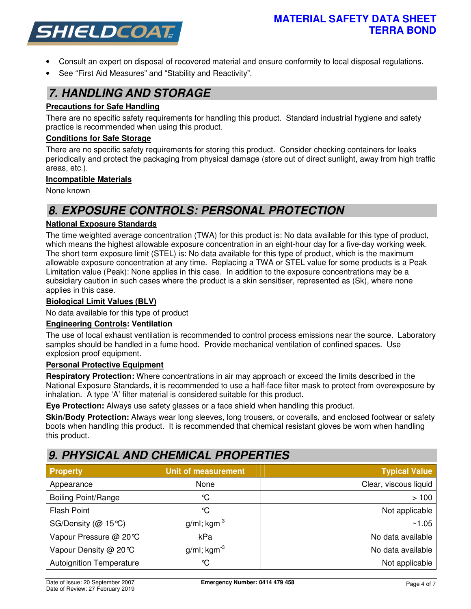

- Consult an expert on disposal of recovered material and ensure conformity to local disposal regulations.
- See "First Aid Measures" and "Stability and Reactivity".

### *7. HANDLING AND STORAGE*

### **Precautions for Safe Handling**

There are no specific safety requirements for handling this product. Standard industrial hygiene and safety practice is recommended when using this product.

### **Conditions for Safe Storage**

There are no specific safety requirements for storing this product. Consider checking containers for leaks periodically and protect the packaging from physical damage (store out of direct sunlight, away from high traffic areas, etc.).

### **Incompatible Materials**

None known

# *8. EXPOSURE CONTROLS: PERSONAL PROTECTION*

### **National Exposure Standards**

The time weighted average concentration (TWA) for this product is: No data available for this type of product, which means the highest allowable exposure concentration in an eight-hour day for a five-day working week. The short term exposure limit (STEL) is: No data available for this type of product, which is the maximum allowable exposure concentration at any time. Replacing a TWA or STEL value for some products is a Peak Limitation value (Peak): None applies in this case. In addition to the exposure concentrations may be a subsidiary caution in such cases where the product is a skin sensitiser, represented as (Sk), where none applies in this case.

### **Biological Limit Values (BLV)**

No data available for this type of product

### **Engineering Controls: Ventilation**

The use of local exhaust ventilation is recommended to control process emissions near the source. Laboratory samples should be handled in a fume hood. Provide mechanical ventilation of confined spaces. Use explosion proof equipment.

### **Personal Protective Equipment**

**Respiratory Protection:** Where concentrations in air may approach or exceed the limits described in the National Exposure Standards, it is recommended to use a half-face filter mask to protect from overexposure by inhalation. A type 'A' filter material is considered suitable for this product.

**Eye Protection:** Always use safety glasses or a face shield when handling this product.

**Skin/Body Protection:** Always wear long sleeves, long trousers, or coveralls, and enclosed footwear or safety boots when handling this product. It is recommended that chemical resistant gloves be worn when handling this product.

## *9. PHYSICAL AND CHEMICAL PROPERTIES*

| <b>Property</b>                 | <b>Unit of measurement</b> | Typical Value         |
|---------------------------------|----------------------------|-----------------------|
| Appearance                      | None                       | Clear, viscous liquid |
| <b>Boiling Point/Range</b>      | °C                         | >100                  |
| <b>Flash Point</b>              | ℃                          | Not applicable        |
| SG/Density ( $@$ 15°C)          | $g/ml$ ; kgm <sup>-3</sup> | ~1.05                 |
| Vapour Pressure @ 20℃           | kPa                        | No data available     |
| Vapour Density @ 20℃            | g/ml; $kgm^{-3}$           | No data available     |
| <b>Autoignition Temperature</b> | ℃                          | Not applicable        |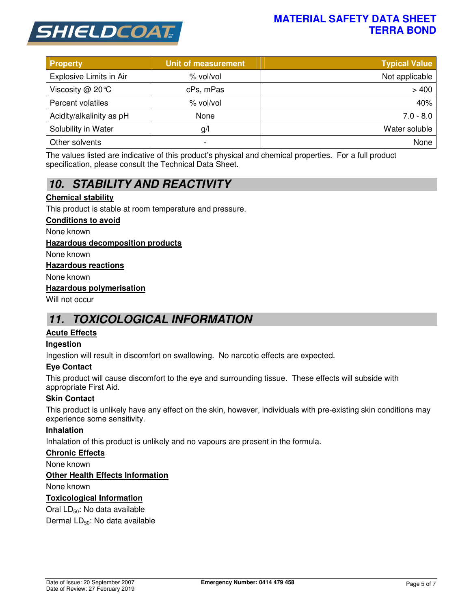

### **MATERIAL SAFETY DATA SHEET TERRA BOND**

| <b>Property</b>          | <b>Unit of measurement</b> | <b>Typical Value</b> |
|--------------------------|----------------------------|----------------------|
| Explosive Limits in Air  | % vol/vol                  | Not applicable       |
| Viscosity $@$ 20 °C      | cPs, mPas                  | >400                 |
| Percent volatiles        | % vol/vol                  | 40%                  |
| Acidity/alkalinity as pH | None                       | $7.0 - 8.0$          |
| Solubility in Water      | g/                         | Water soluble        |
| Other solvents           | ٠                          | None                 |

The values listed are indicative of this product's physical and chemical properties. For a full product specification, please consult the Technical Data Sheet.

# *10. STABILITY AND REACTIVITY*

### **Chemical stability**

This product is stable at room temperature and pressure.

#### **Conditions to avoid**

None known

### **Hazardous decomposition products**

None known

#### **Hazardous reactions**

None known

#### **Hazardous polymerisation**

Will not occur

## *11. TOXICOLOGICAL INFORMATION*

### **Acute Effects**

### **Ingestion**

Ingestion will result in discomfort on swallowing. No narcotic effects are expected.

### **Eye Contact**

This product will cause discomfort to the eye and surrounding tissue. These effects will subside with appropriate First Aid.

### **Skin Contact**

This product is unlikely have any effect on the skin, however, individuals with pre-existing skin conditions may experience some sensitivity.

### **Inhalation**

Inhalation of this product is unlikely and no vapours are present in the formula.

### **Chronic Effects**

None known

### **Other Health Effects Information**

None known

### **Toxicological Information**

Oral LD<sub>50</sub>: No data available

Dermal LD<sub>50</sub>: No data available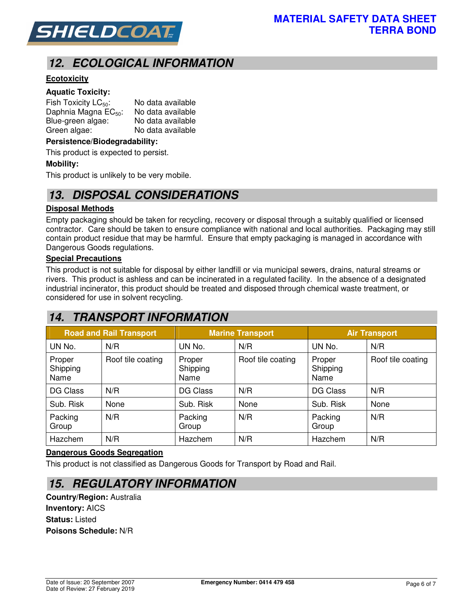

# *12. ECOLOGICAL INFORMATION*

### **Ecotoxicity**

### **Aquatic Toxicity:**

| Fish Toxicity $LC_{50}$ :        | No data available |
|----------------------------------|-------------------|
| Daphnia Magna EC <sub>50</sub> : | No data available |
| Blue-green algae:                | No data available |
| Green algae:                     | No data available |

#### **Persistence/Biodegradability:**

This product is expected to persist.

#### **Mobility:**

This product is unlikely to be very mobile.

### *13. DISPOSAL CONSIDERATIONS*

### **Disposal Methods**

Empty packaging should be taken for recycling, recovery or disposal through a suitably qualified or licensed contractor. Care should be taken to ensure compliance with national and local authorities. Packaging may still contain product residue that may be harmful. Ensure that empty packaging is managed in accordance with Dangerous Goods regulations.

### **Special Precautions**

This product is not suitable for disposal by either landfill or via municipal sewers, drains, natural streams or rivers. This product is ashless and can be incinerated in a regulated facility. In the absence of a designated industrial incinerator, this product should be treated and disposed through chemical waste treatment, or considered for use in solvent recycling.

## *14. TRANSPORT INFORMATION*

| <b>Road and Rail Transport</b> |                   | <b>Marine Transport</b>    |                   | <b>Air Transport</b>       |                   |
|--------------------------------|-------------------|----------------------------|-------------------|----------------------------|-------------------|
| UN No.                         | N/R               | UN No.                     | N/R               | UN No.                     | N/R               |
| Proper<br>Shipping<br>Name     | Roof tile coating | Proper<br>Shipping<br>Name | Roof tile coating | Proper<br>Shipping<br>Name | Roof tile coating |
| DG Class                       | N/R               | DG Class                   | N/R               | <b>DG Class</b>            | N/R               |
| Sub. Risk                      | None              | Sub. Risk                  | None              | Sub. Risk                  | None              |
| Packing<br>Group               | N/R               | Packing<br>Group           | N/R               | Packing<br>Group           | N/R               |
| Hazchem                        | N/R               | Hazchem                    | N/R               | Hazchem                    | N/R               |

### **Dangerous Goods Segregation**

This product is not classified as Dangerous Goods for Transport by Road and Rail.

### *15. REGULATORY INFORMATION*

**Country/Region:** Australia **Inventory:** AICS **Status:** Listed **Poisons Schedule:** N/R